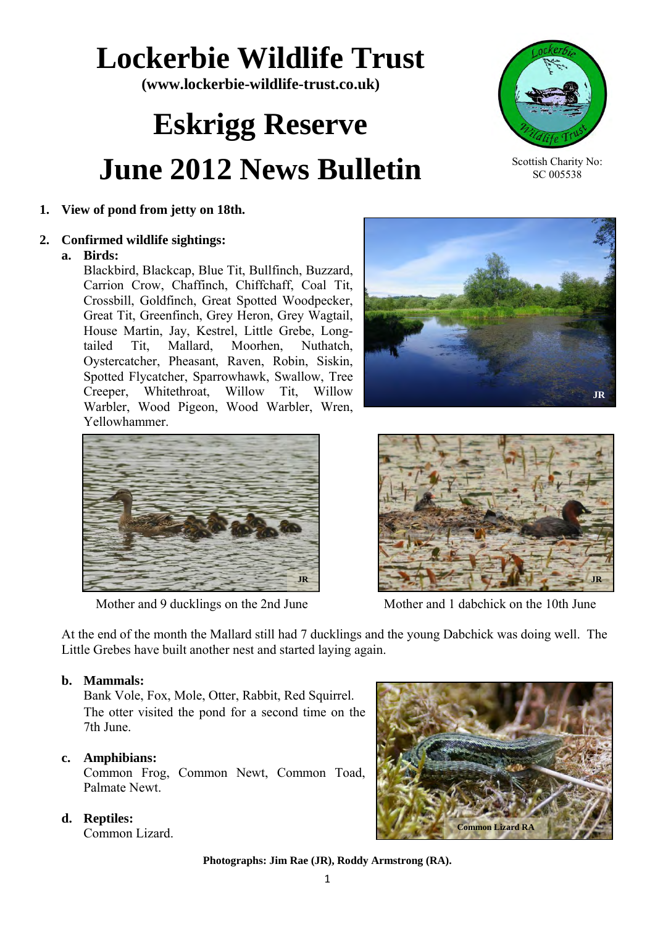# **Lockerbie Wildlife Trust**

**(www.lockerbie-wildlife-trust.co.uk)** 

# **Eskrigg Reserve June 2012 News Bulletin**

# **1. View of pond from jetty on 18th.**

# **2. Confirmed wildlife sightings:**

# **a. Birds:**

Blackbird, Blackcap, Blue Tit, Bullfinch, Buzzard, Carrion Crow, Chaffinch, Chiffchaff, Coal Tit, Crossbill, Goldfinch, Great Spotted Woodpecker, Great Tit, Greenfinch, Grey Heron, Grey Wagtail, House Martin, Jay, Kestrel, Little Grebe, Longtailed Tit, Mallard, Moorhen, Nuthatch, Oystercatcher, Pheasant, Raven, Robin, Siskin, Spotted Flycatcher, Sparrowhawk, Swallow, Tree Creeper, Whitethroat, Willow Tit, Willow Warbler, Wood Pigeon, Wood Warbler, Wren, Yellowhammer.



Scottish Charity No: SC 005538





Mother and 9 ducklings on the 2nd June Mother and 1 dabchick on the 10th June



 At the end of the month the Mallard still had 7 ducklings and the young Dabchick was doing well. The Little Grebes have built another nest and started laying again.

# **b. Mammals:**

 Bank Vole, Fox, Mole, Otter, Rabbit, Red Squirrel. The otter visited the pond for a second time on the 7th June.

# **c. Amphibians:**

Common Frog, Common Newt, Common Toad, Palmate Newt.

# **d. Reptiles:**

Common Lizard.



**Photographs: Jim Rae (JR), Roddy Armstrong (RA).**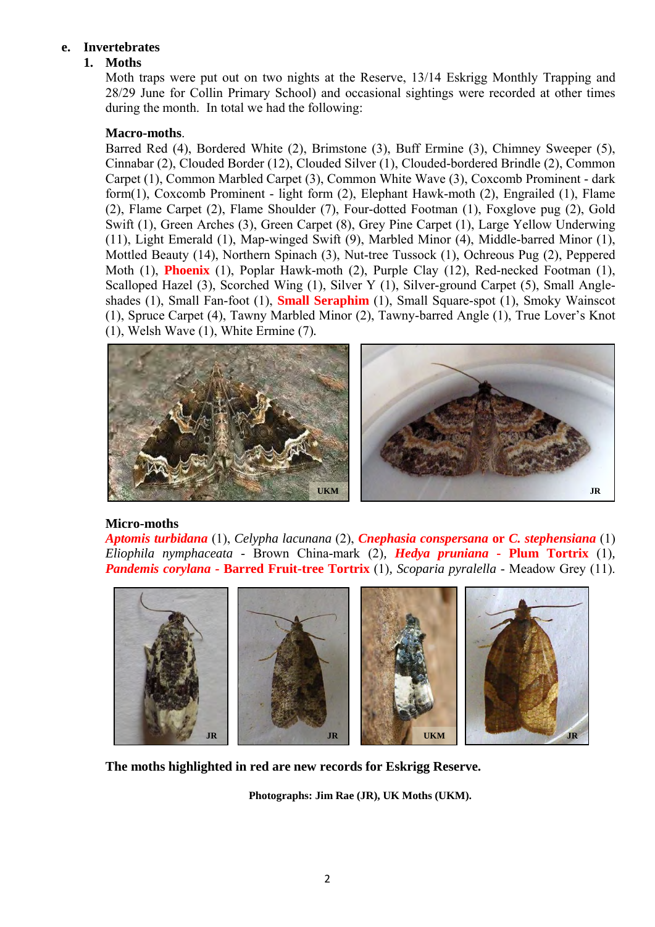#### **e. Invertebrates**

#### **1. Moths**

Moth traps were put out on two nights at the Reserve, 13/14 Eskrigg Monthly Trapping and 28/29 June for Collin Primary School) and occasional sightings were recorded at other times during the month. In total we had the following:

#### **Macro-moths**.

Barred Red (4), Bordered White (2), Brimstone (3), Buff Ermine (3), Chimney Sweeper (5), Cinnabar (2), Clouded Border (12), Clouded Silver (1), Clouded-bordered Brindle (2), Common Carpet (1), Common Marbled Carpet (3), Common White Wave (3), Coxcomb Prominent - dark form(1), Coxcomb Prominent - light form (2), Elephant Hawk-moth (2), Engrailed (1), Flame (2), Flame Carpet (2), Flame Shoulder (7), Four-dotted Footman (1), Foxglove pug (2), Gold Swift (1), Green Arches (3), Green Carpet (8), Grey Pine Carpet (1), Large Yellow Underwing (11), Light Emerald (1), Map-winged Swift (9), Marbled Minor (4), Middle-barred Minor (1), Mottled Beauty (14), Northern Spinach (3), Nut-tree Tussock (1), Ochreous Pug (2), Peppered Moth (1), **Phoenix** (1), Poplar Hawk-moth (2), Purple Clay (12), Red-necked Footman (1), Scalloped Hazel (3), Scorched Wing (1), Silver Y (1), Silver-ground Carpet (5), Small Angleshades (1), Small Fan-foot (1), **Small Seraphim** (1), Small Square-spot (1), Smoky Wainscot (1), Spruce Carpet (4), Tawny Marbled Minor (2), Tawny-barred Angle (1), True Lover's Knot (1), Welsh Wave (1), White Ermine (7)*.*



#### **Micro-moths**

*Aptomis turbidana* (1), *Celypha lacunana* (2), *Cnephasia conspersana* **or** *C. stephensiana* (1) *Eliophila nymphaceata* - Brown China-mark (2)*, Hedya pruniana* **- Plum Tortrix** (1)*, Pandemis corylana -* **Barred Fruit-tree Tortrix** (1)*, Scoparia pyralella* - Meadow Grey (11).



**The moths highlighted in red are new records for Eskrigg Reserve.** 

**Photographs: Jim Rae (JR), UK Moths (UKM).**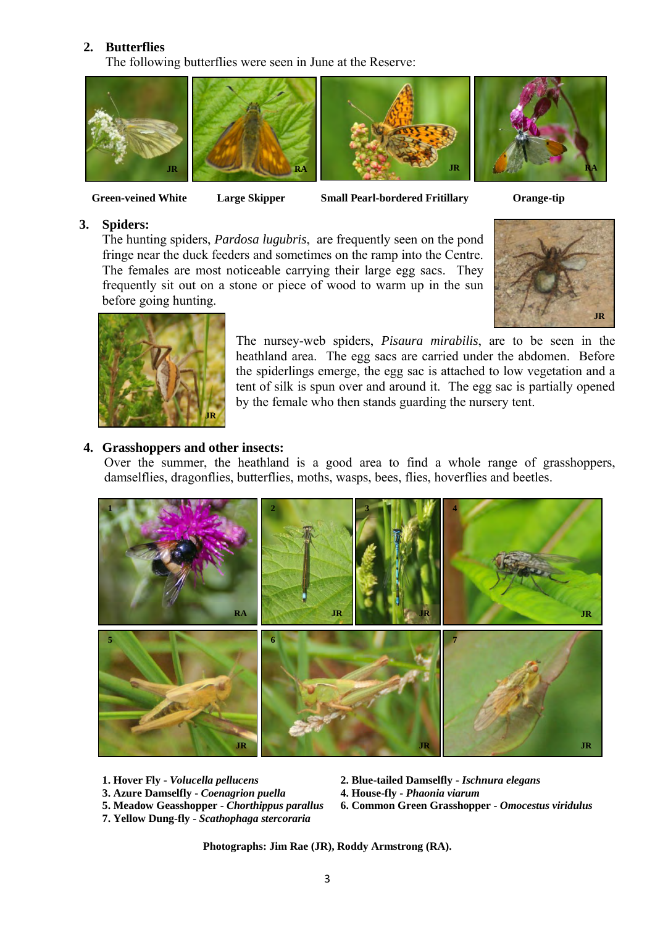#### **2. Butterflies**

The following butterflies were seen in June at the Reserve:









 **Green-veined White Large Skipper Small Pearl-bordered Fritillary Orange-tip**

#### **3. Spiders:**

The hunting spiders, *Pardosa lugubris*, are frequently seen on the pond fringe near the duck feeders and sometimes on the ramp into the Centre. The females are most noticeable carrying their large egg sacs. They frequently sit out on a stone or piece of wood to warm up in the sun before going hunting.





The nursey-web spiders, *Pisaura mirabilis*, are to be seen in the heathland area. The egg sacs are carried under the abdomen. Before the spiderlings emerge, the egg sac is attached to low vegetation and a tent of silk is spun over and around it. The egg sac is partially opened by the female who then stands guarding the nursery tent.

#### **4. Grasshoppers and other insects:**

Over the summer, the heathland is a good area to find a whole range of grasshoppers, damselflies, dragonflies, butterflies, moths, wasps, bees, flies, hoverflies and beetles.



- 
- **3. Azure Damselfly -** *Coenagrion puella* **4. House-fly -** *Phaonia viarum*
- **1. Hover Fly -** *Volucella pellucens* **2. Blue-tailed Damselfly -** *Ischnura elegans*
	-
- **7. Yellow Dung-fly -** *Scathophaga stercoraria*
- **5. Meadow Geasshopper -** *Chorthippus parallus* **6. Common Green Grasshopper -** *Omocestus viridulus*

**Photographs: Jim Rae (JR), Roddy Armstrong (RA).**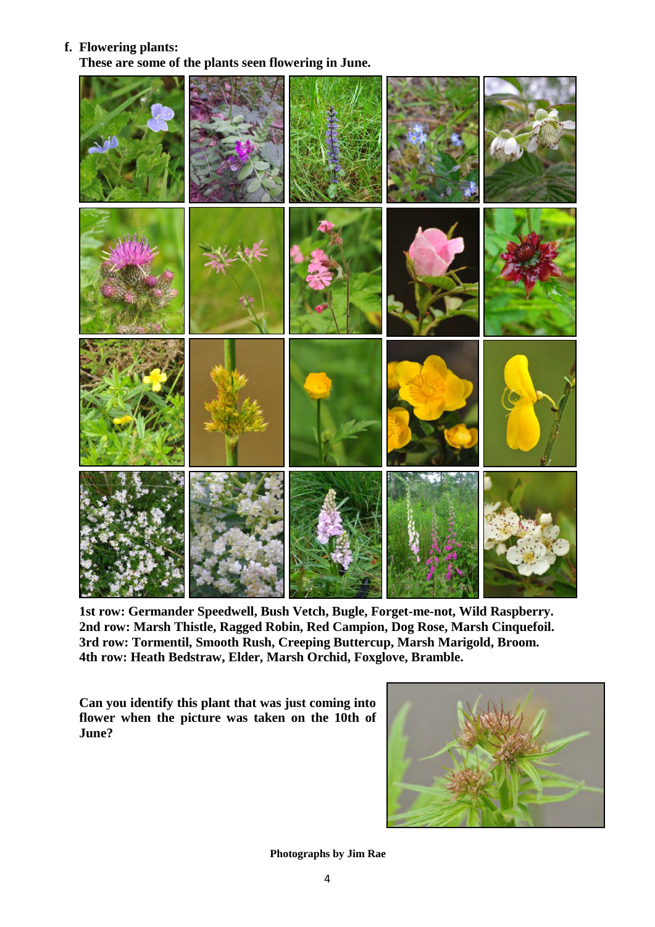#### **f. Flowering plants:**

**These are some of the plants seen flowering in June.**



**1st row: Germander Speedwell, Bush Vetch, Bugle, Forget-me-not, Wild Raspberry. 2nd row: Marsh Thistle, Ragged Robin, Red Campion, Dog Rose, Marsh Cinquefoil. 3rd row: Tormentil, Smooth Rush, Creeping Buttercup, Marsh Marigold, Broom. 4th row: Heath Bedstraw, Elder, Marsh Orchid, Foxglove, Bramble.**

**Can you identify this plant that was just coming into flower when the picture was taken on the 10th of June?**



**Photographs by Jim Rae**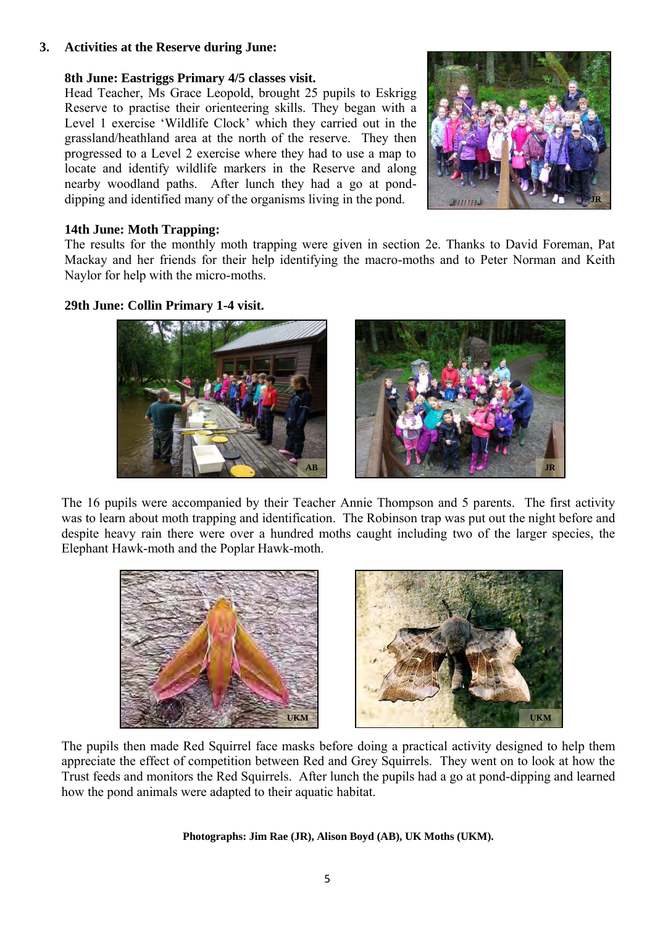# **3. Activities at the Reserve during June:**

#### **8th June: Eastriggs Primary 4/5 classes visit.**

Head Teacher, Ms Grace Leopold, brought 25 pupils to Eskrigg Reserve to practise their orienteering skills. They began with a Level 1 exercise 'Wildlife Clock' which they carried out in the grassland/heathland area at the north of the reserve. They then progressed to a Level 2 exercise where they had to use a map to locate and identify wildlife markers in the Reserve and along nearby woodland paths. After lunch they had a go at ponddipping and identified many of the organisms living in the pond.



#### **14th June: Moth Trapping:**

The results for the monthly moth trapping were given in section 2e. Thanks to David Foreman, Pat Mackay and her friends for their help identifying the macro-moths and to Peter Norman and Keith Naylor for help with the micro-moths.

#### **29th June: Collin Primary 1-4 visit.**





The 16 pupils were accompanied by their Teacher Annie Thompson and 5 parents. The first activity was to learn about moth trapping and identification. The Robinson trap was put out the night before and despite heavy rain there were over a hundred moths caught including two of the larger species, the Elephant Hawk-moth and the Poplar Hawk-moth.





The pupils then made Red Squirrel face masks before doing a practical activity designed to help them appreciate the effect of competition between Red and Grey Squirrels. They went on to look at how the Trust feeds and monitors the Red Squirrels. After lunch the pupils had a go at pond-dipping and learned how the pond animals were adapted to their aquatic habitat.

**Photographs: Jim Rae (JR), Alison Boyd (AB), UK Moths (UKM).**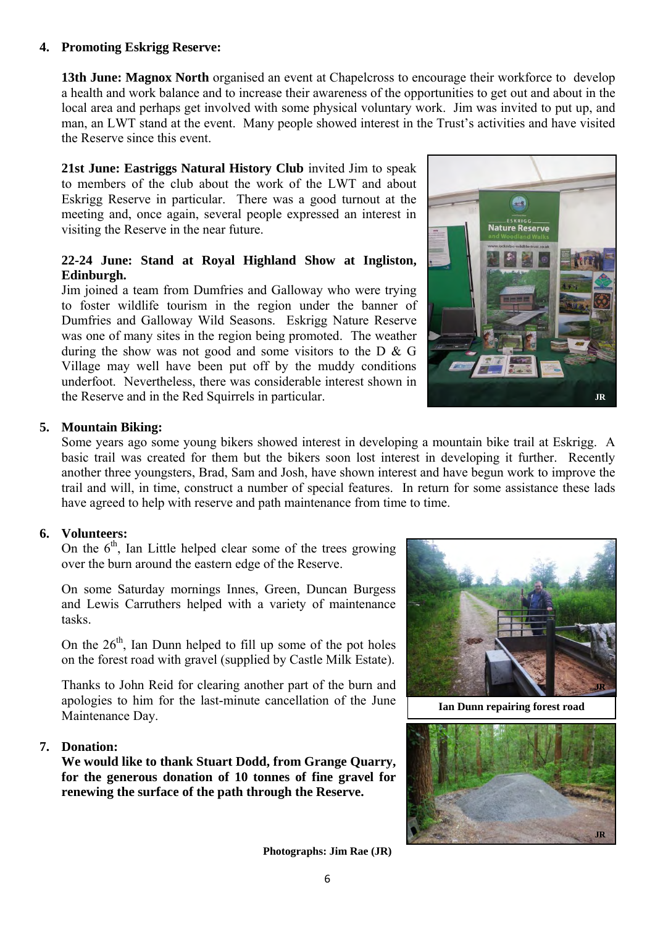#### **4. Promoting Eskrigg Reserve:**

**13th June: Magnox North** organised an event at Chapelcross to encourage their workforce to develop a health and work balance and to increase their awareness of the opportunities to get out and about in the local area and perhaps get involved with some physical voluntary work. Jim was invited to put up, and man, an LWT stand at the event. Many people showed interest in the Trust's activities and have visited the Reserve since this event.

**21st June: Eastriggs Natural History Club** invited Jim to speak to members of the club about the work of the LWT and about Eskrigg Reserve in particular. There was a good turnout at the meeting and, once again, several people expressed an interest in visiting the Reserve in the near future.

#### **22-24 June: Stand at Royal Highland Show at Ingliston, Edinburgh.**

Jim joined a team from Dumfries and Galloway who were trying to foster wildlife tourism in the region under the banner of Dumfries and Galloway Wild Seasons. Eskrigg Nature Reserve was one of many sites in the region being promoted. The weather during the show was not good and some visitors to the D & G Village may well have been put off by the muddy conditions underfoot. Nevertheless, there was considerable interest shown in the Reserve and in the Red Squirrels in particular.



# **5. Mountain Biking:**

Some years ago some young bikers showed interest in developing a mountain bike trail at Eskrigg. A basic trail was created for them but the bikers soon lost interest in developing it further. Recently another three youngsters, Brad, Sam and Josh, have shown interest and have begun work to improve the trail and will, in time, construct a number of special features. In return for some assistance these lads have agreed to help with reserve and path maintenance from time to time.

# **6. Volunteers:**

On the  $6<sup>th</sup>$ , Ian Little helped clear some of the trees growing over the burn around the eastern edge of the Reserve.

On some Saturday mornings Innes, Green, Duncan Burgess and Lewis Carruthers helped with a variety of maintenance tasks.

On the  $26<sup>th</sup>$ , Ian Dunn helped to fill up some of the pot holes on the forest road with gravel (supplied by Castle Milk Estate).

Thanks to John Reid for clearing another part of the burn and apologies to him for the last-minute cancellation of the June Maintenance Day.

# **7. Donation:**

**We would like to thank Stuart Dodd, from Grange Quarry, for the generous donation of 10 tonnes of fine gravel for renewing the surface of the path through the Reserve.** 



**Ian Dunn repairing forest road**



**Photographs: Jim Rae (JR)**